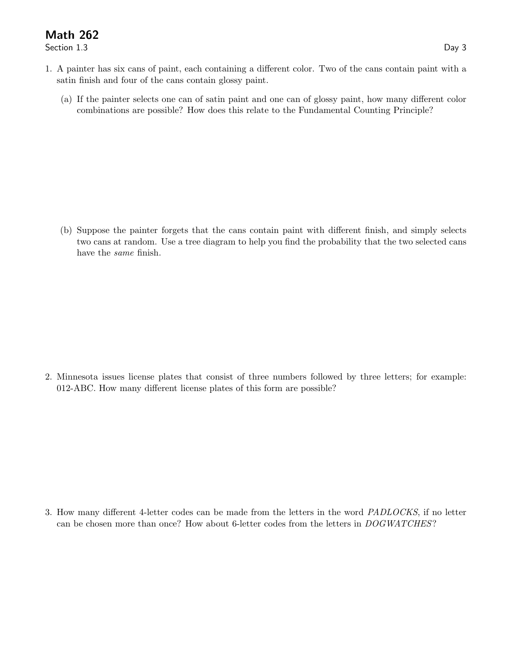## Math 262

Section 1.3 Day 3

- 1. A painter has six cans of paint, each containing a different color. Two of the cans contain paint with a satin finish and four of the cans contain glossy paint.
	- (a) If the painter selects one can of satin paint and one can of glossy paint, how many different color combinations are possible? How does this relate to the Fundamental Counting Principle?

(b) Suppose the painter forgets that the cans contain paint with different finish, and simply selects two cans at random. Use a tree diagram to help you find the probability that the two selected cans have the same finish.

2. Minnesota issues license plates that consist of three numbers followed by three letters; for example: 012-ABC. How many different license plates of this form are possible?

3. How many different 4-letter codes can be made from the letters in the word PADLOCKS, if no letter can be chosen more than once? How about 6-letter codes from the letters in DOGWATCHES?